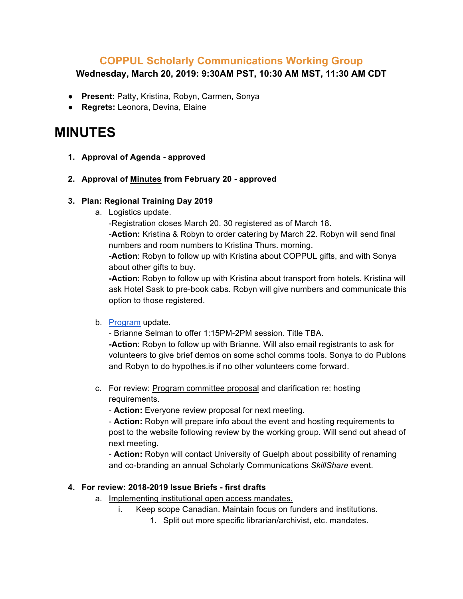## **COPPUL Scholarly Communications Working Group**

**Wednesday, March 20, 2019: 9:30AM PST, 10:30 AM MST, 11:30 AM CDT**

- **Present:** Patty, Kristina, Robyn, Carmen, Sonya
- **Regrets:** Leonora, Devina, Elaine

# **MINUTES**

- **1. Approval of Agenda - approved**
- **2. Approval of Minutes from February 20 - approved**

#### **3. Plan: Regional Training Day 2019**

a. Logistics update.

-Registration closes March 20. 30 registered as of March 18.

-**Action:** Kristina & Robyn to order catering by March 22. Robyn will send final numbers and room numbers to Kristina Thurs. morning.

**-Action**: Robyn to follow up with Kristina about COPPUL gifts, and with Sonya about other gifts to buy.

**-Action**: Robyn to follow up with Kristina about transport from hotels. Kristina will ask Hotel Sask to pre-book cabs. Robyn will give numbers and communicate this option to those registered.

### b. Program update.

- Brianne Selman to offer 1:15PM-2PM session. Title TBA. **-Action**: Robyn to follow up with Brianne. Will also email registrants to ask for volunteers to give brief demos on some schol comms tools. Sonya to do Publons and Robyn to do hypothes.is if no other volunteers come forward.

c. For review: Program committee proposal and clarification re: hosting requirements.

- **Action:** Everyone review proposal for next meeting.

- **Action:** Robyn will prepare info about the event and hosting requirements to post to the website following review by the working group. Will send out ahead of next meeting.

- **Action:** Robyn will contact University of Guelph about possibility of renaming and co-branding an annual Scholarly Communications *SkillShare* event.

### **4. For review: 2018-2019 Issue Briefs - first drafts**

- a. Implementing institutional open access mandates.
	- i. Keep scope Canadian. Maintain focus on funders and institutions.
		- 1. Split out more specific librarian/archivist, etc. mandates.